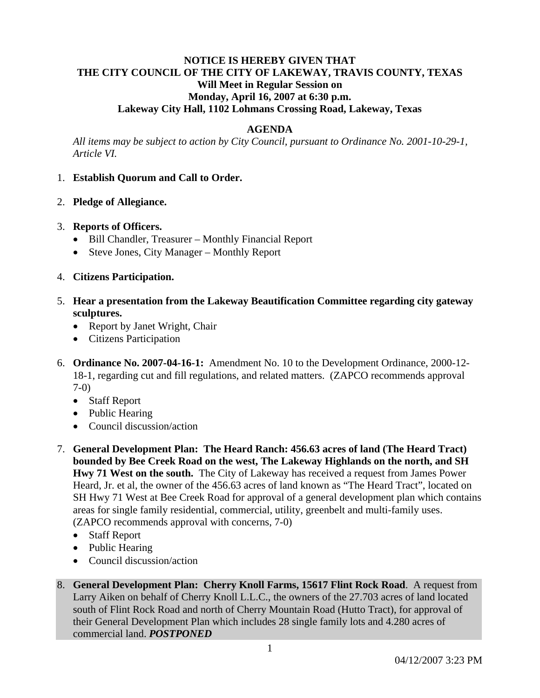# **NOTICE IS HEREBY GIVEN THAT THE CITY COUNCIL OF THE CITY OF LAKEWAY, TRAVIS COUNTY, TEXAS Will Meet in Regular Session on Monday, April 16, 2007 at 6:30 p.m. Lakeway City Hall, 1102 Lohmans Crossing Road, Lakeway, Texas**

### **AGENDA**

*All items may be subject to action by City Council, pursuant to Ordinance No. 2001-10-29-1, Article VI.* 

### 1. **Establish Quorum and Call to Order.**

2. **Pledge of Allegiance.**

## 3. **Reports of Officers.**

- Bill Chandler, Treasurer Monthly Financial Report
- Steve Jones, City Manager Monthly Report
- 4. **Citizens Participation.**
- 5. **Hear a presentation from the Lakeway Beautification Committee regarding city gateway sculptures.** 
	- Report by Janet Wright, Chair
	- Citizens Participation
- 6. **Ordinance No. 2007-04-16-1:** Amendment No. 10 to the Development Ordinance, 2000-12- 18-1, regarding cut and fill regulations, and related matters. (ZAPCO recommends approval 7-0)
	- Staff Report
	- Public Hearing
	- Council discussion/action
- 7. **General Development Plan: The Heard Ranch: 456.63 acres of land (The Heard Tract) bounded by Bee Creek Road on the west, The Lakeway Highlands on the north, and SH Hwy 71 West on the south.** The City of Lakeway has received a request from James Power Heard, Jr. et al, the owner of the 456.63 acres of land known as "The Heard Tract", located on SH Hwy 71 West at Bee Creek Road for approval of a general development plan which contains areas for single family residential, commercial, utility, greenbelt and multi-family uses. (ZAPCO recommends approval with concerns, 7-0)
	- Staff Report
	- Public Hearing
	- Council discussion/action
- 8. **General Development Plan: Cherry Knoll Farms, 15617 Flint Rock Road**. A request from Larry Aiken on behalf of Cherry Knoll L.L.C., the owners of the 27.703 acres of land located south of Flint Rock Road and north of Cherry Mountain Road (Hutto Tract), for approval of their General Development Plan which includes 28 single family lots and 4.280 acres of commercial land. *POSTPONED*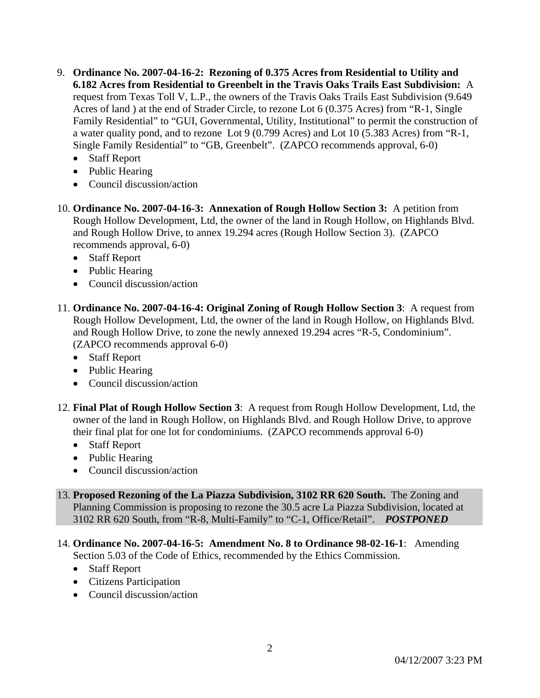- 9. **Ordinance No. 2007-04-16-2: Rezoning of 0.375 Acres from Residential to Utility and 6.182 Acres from Residential to Greenbelt in the Travis Oaks Trails East Subdivision:** A request from Texas Toll V, L.P., the owners of the Travis Oaks Trails East Subdivision (9.649 Acres of land ) at the end of Strader Circle, to rezone Lot 6 (0.375 Acres) from "R-1, Single Family Residential" to "GUI, Governmental, Utility, Institutional" to permit the construction of a water quality pond, and to rezone Lot 9 (0.799 Acres) and Lot 10 (5.383 Acres) from "R-1, Single Family Residential" to "GB, Greenbelt". (ZAPCO recommends approval, 6-0)
	- Staff Report
	- Public Hearing
	- Council discussion/action
- 10. **Ordinance No. 2007-04-16-3: Annexation of Rough Hollow Section 3:** A petition from Rough Hollow Development, Ltd, the owner of the land in Rough Hollow, on Highlands Blvd. and Rough Hollow Drive, to annex 19.294 acres (Rough Hollow Section 3). (ZAPCO recommends approval, 6-0)
	- Staff Report
	- Public Hearing
	- Council discussion/action
- 11. **Ordinance No. 2007-04-16-4: Original Zoning of Rough Hollow Section 3**: A request from Rough Hollow Development, Ltd, the owner of the land in Rough Hollow, on Highlands Blvd. and Rough Hollow Drive, to zone the newly annexed 19.294 acres "R-5, Condominium". (ZAPCO recommends approval 6-0)
	- Staff Report
	- Public Hearing
	- Council discussion/action
- 12. **Final Plat of Rough Hollow Section 3**: A request from Rough Hollow Development, Ltd, the owner of the land in Rough Hollow, on Highlands Blvd. and Rough Hollow Drive, to approve their final plat for one lot for condominiums. (ZAPCO recommends approval 6-0)
	- Staff Report
	- Public Hearing
	- Council discussion/action
- 13. **Proposed Rezoning of the La Piazza Subdivision, 3102 RR 620 South.** The Zoning and Planning Commission is proposing to rezone the 30.5 acre La Piazza Subdivision, located at 3102 RR 620 South, from "R-8, Multi-Family" to "C-1, Office/Retail". *POSTPONED*
- 14. **Ordinance No. 2007-04-16-5: Amendment No. 8 to Ordinance 98-02-16-1**: Amending Section 5.03 of the Code of Ethics, recommended by the Ethics Commission.
	- Staff Report
	- Citizens Participation
	- Council discussion/action